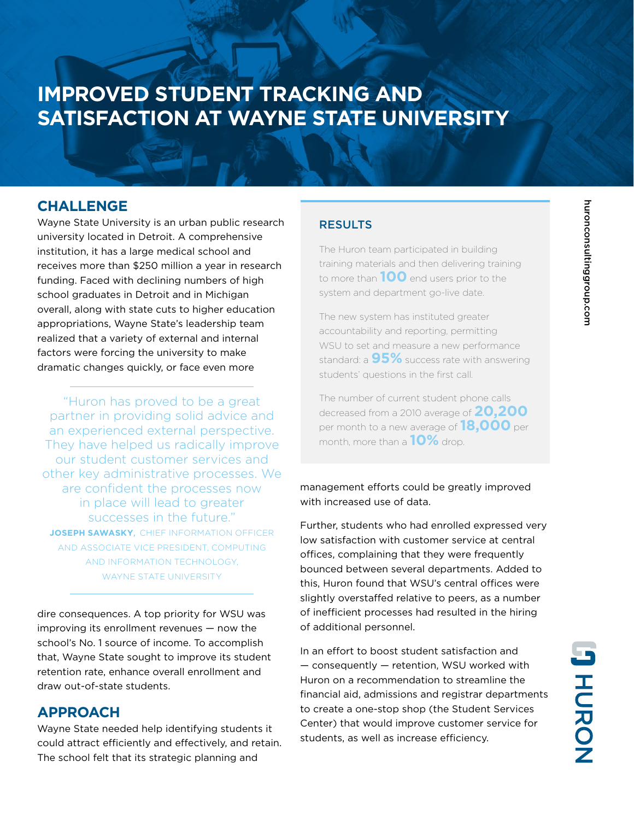## **IMPROVED STUDENT TRACKING AND SATISFACTION AT WAYNE STATE UNIVERSITY**

### **CHALLENGE**

Wayne State University is an urban public research university located in Detroit. A comprehensive institution, it has a large medical school and receives more than \$250 million a year in research funding. Faced with declining numbers of high school graduates in Detroit and in Michigan overall, along with state cuts to higher education appropriations, Wayne State's leadership team realized that a variety of external and internal factors were forcing the university to make dramatic changes quickly, or face even more

"Huron has proved to be a great partner in providing solid advice and an experienced external perspective. They have helped us radically improve our student customer services and other key administrative processes. We are confident the processes now in place will lead to greater successes in the future." **JOSEPH SAWASKY**, CHIEF INFORMATION OFFICER AND ASSOCIATE VICE PRESIDENT, COMPUTING AND INFORMATION TECHNOLOGY, WAYNE STATE UNIVERSITY

dire consequences. A top priority for WSU was improving its enrollment revenues — now the school's No. 1 source of income. To accomplish that, Wayne State sought to improve its student retention rate, enhance overall enrollment and draw out-of-state students.

### **APPROACH**

Wayne State needed help identifying students it could attract efficiently and effectively, and retain. The school felt that its strategic planning and

#### RESULTS

The Huron team participated in building training materials and then delivering training to more than **100** end users prior to the system and department go-live date.

The new system has instituted greater accountability and reporting, permitting WSU to set and measure a new performance standard: a **95%** success rate with answering students' questions in the first call.

The number of current student phone calls decreased from a 2010 average of **20,200** per month to a new average of **18,000** per month, more than a **10%** drop.

management efforts could be greatly improved with increased use of data.

Further, students who had enrolled expressed very low satisfaction with customer service at central offices, complaining that they were frequently bounced between several departments. Added to this, Huron found that WSU's central offices were slightly overstaffed relative to peers, as a number of inefficient processes had resulted in the hiring of additional personnel.

In an effort to boost student satisfaction and — consequently — retention, WSU worked with Huron on a recommendation to streamline the financial aid, admissions and registrar departments to create a one-stop shop (the Student Services Center) that would improve customer service for students, as well as increase efficiency.